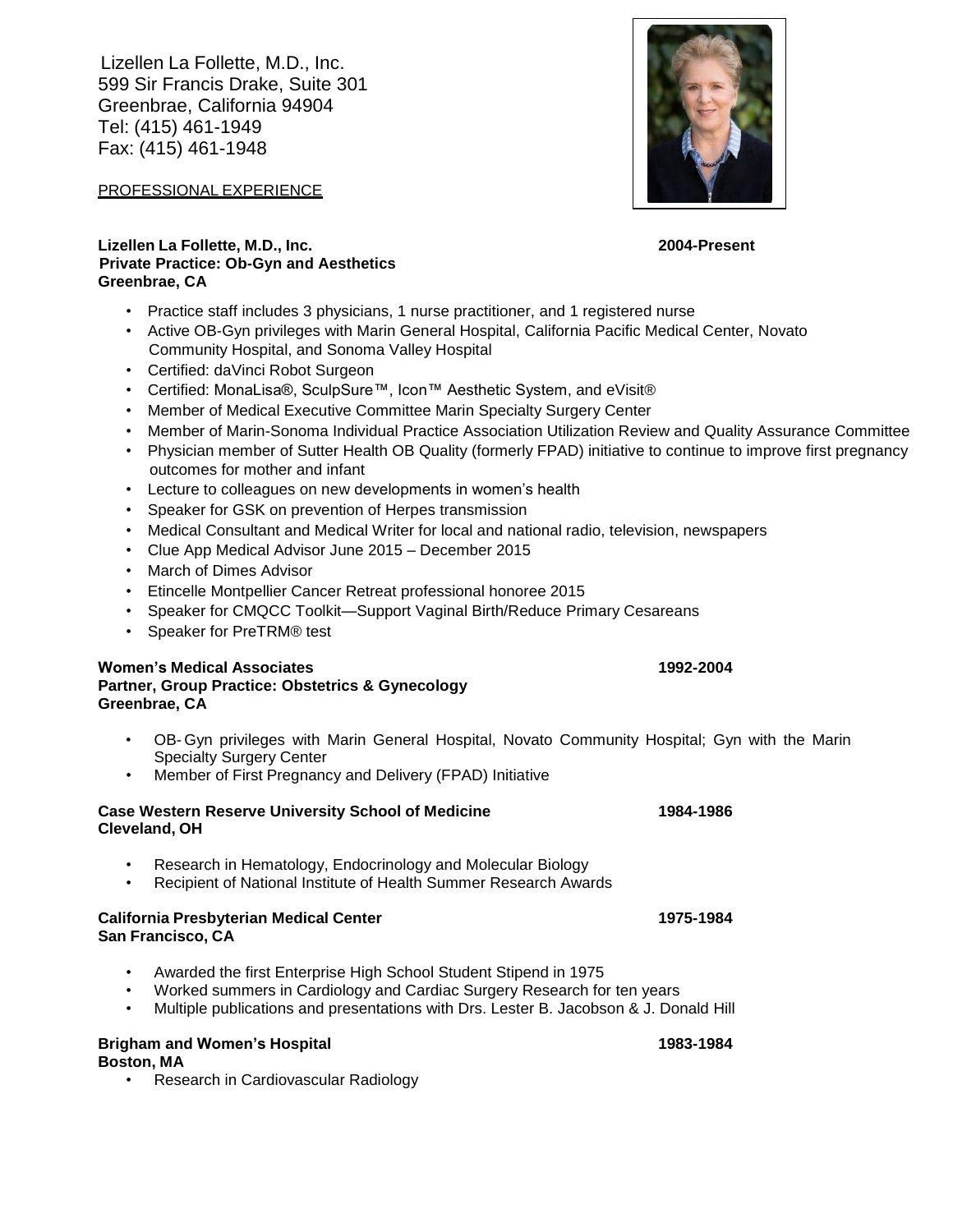Lizellen La Follette, M.D., Inc. 599 Sir Francis Drake, Suite 301 Greenbrae, California 94904 Tel: (415) 461-1949 Fax: (415) 461-1948

PROFESSIONAL EXPERIENCE

# **Lizellen La Follette, M.D., Inc. 2004-Present Private Practice: Ob-Gyn and Aesthetics Greenbrae, CA**

- Practice staff includes 3 physicians, 1 nurse practitioner, and 1 registered nurse
- Active OB-Gyn privileges with Marin General Hospital, California Pacific Medical Center, Novato Community Hospital, and Sonoma Valley Hospital
- Certified: daVinci Robot Surgeon
- Certified: MonaLisa®, SculpSure™, Icon™ Aesthetic System, and eVisit®
- Member of Medical Executive Committee Marin Specialty Surgery Center
- Member of Marin-Sonoma Individual Practice Association Utilization Review and Quality Assurance Committee
- Physician member of Sutter Health OB Quality (formerly FPAD) initiative to continue to improve first pregnancy outcomes for mother and infant
- Lecture to colleagues on new developments in women's health
- Speaker for GSK on prevention of Herpes transmission
- Medical Consultant and Medical Writer for local and national radio, television, newspapers
- Clue App Medical Advisor June 2015 December 2015
- March of Dimes Advisor
- Etincelle Montpellier Cancer Retreat professional honoree 2015
- Speaker for CMQCC Toolkit—Support Vaginal Birth/Reduce Primary Cesareans
- Speaker for PreTRM® test

# **Women's Medical Associates 1992-2004**

**Partner, Group Practice: Obstetrics & Gynecology Greenbrae, CA**

- OB- Gyn privileges with Marin General Hospital, Novato Community Hospital; Gyn with the Marin Specialty Surgery Center
- Member of First Pregnancy and Delivery (FPAD) Initiative

## **Case Western Reserve University School of Medicine 1984-1986 Cleveland, OH**

- Research in Hematology, Endocrinology and Molecular Biology
- Recipient of National Institute of Health Summer Research Awards

#### **California Presbyterian Medical Center 1975-1984 San Francisco, CA**

- Awarded the first Enterprise High School Student Stipend in 1975
- Worked summers in Cardiology and Cardiac Surgery Research for ten years
- Multiple publications and presentations with Drs. Lester B. Jacobson & J. Donald Hill

### **Brigham and Women's Hospital 1983-1984**

**Boston, MA**

• Research in Cardiovascular Radiology

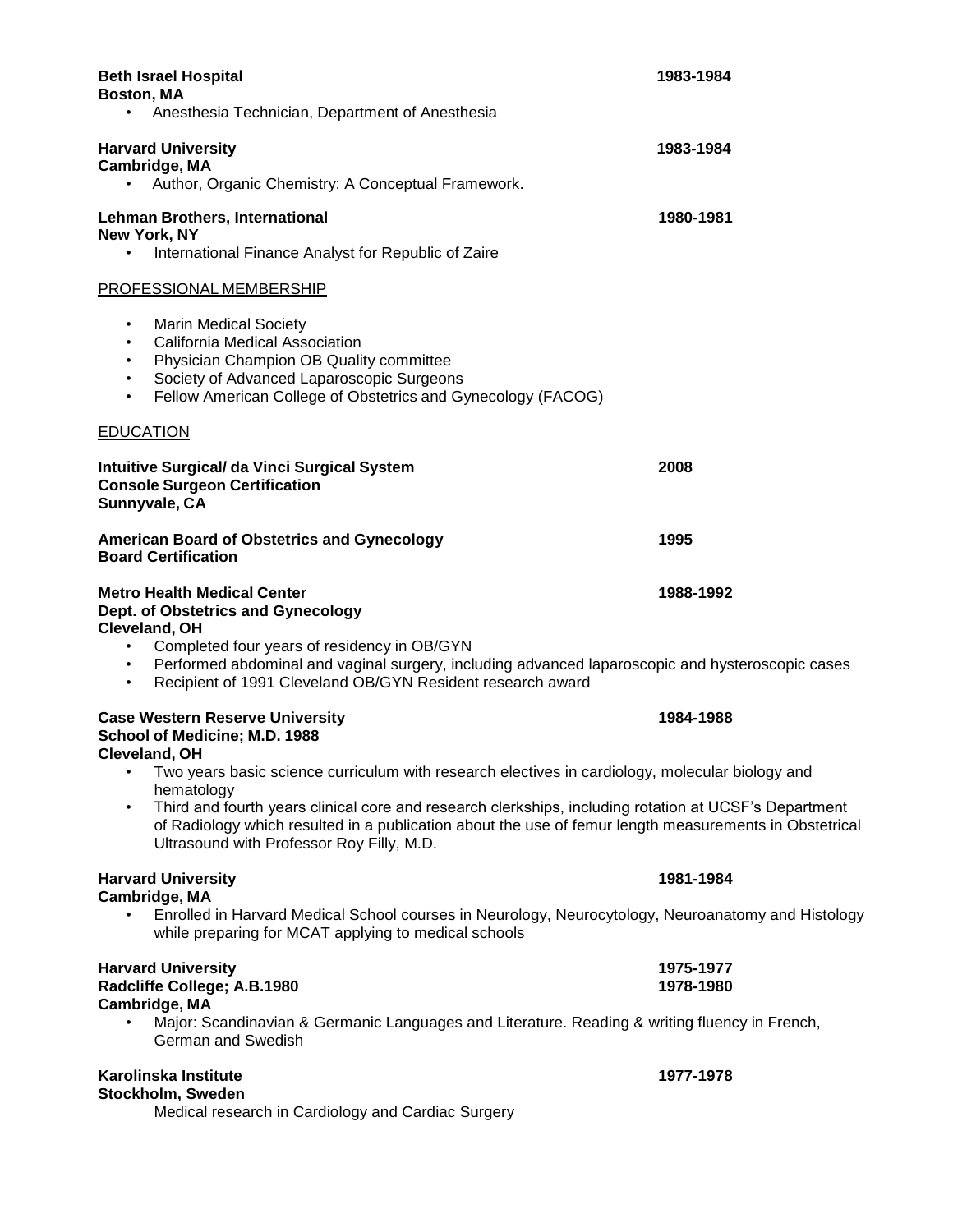| <b>Beth Israel Hospital</b><br>Boston, MA<br>Anesthesia Technician, Department of Anesthesia                                                                                                                                                                                                                                                                                                                                                                                   | 1983-1984              |
|--------------------------------------------------------------------------------------------------------------------------------------------------------------------------------------------------------------------------------------------------------------------------------------------------------------------------------------------------------------------------------------------------------------------------------------------------------------------------------|------------------------|
| <b>Harvard University</b><br>Cambridge, MA<br>Author, Organic Chemistry: A Conceptual Framework.<br>٠                                                                                                                                                                                                                                                                                                                                                                          | 1983-1984              |
| <b>Lehman Brothers, International</b><br>New York, NY<br>International Finance Analyst for Republic of Zaire<br>$\bullet$                                                                                                                                                                                                                                                                                                                                                      | 1980-1981              |
| <b>PROFESSIONAL MEMBERSHIP</b>                                                                                                                                                                                                                                                                                                                                                                                                                                                 |                        |
| <b>Marin Medical Society</b><br>$\bullet$<br>California Medical Association<br>٠<br>Physician Champion OB Quality committee<br>٠<br>Society of Advanced Laparoscopic Surgeons<br>٠<br>Fellow American College of Obstetrics and Gynecology (FACOG)<br>٠                                                                                                                                                                                                                        |                        |
| <b>EDUCATION</b>                                                                                                                                                                                                                                                                                                                                                                                                                                                               |                        |
| <b>Intuitive Surgical/ da Vinci Surgical System</b><br><b>Console Surgeon Certification</b><br>Sunnyvale, CA                                                                                                                                                                                                                                                                                                                                                                   | 2008                   |
| <b>American Board of Obstetrics and Gynecology</b><br><b>Board Certification</b>                                                                                                                                                                                                                                                                                                                                                                                               | 1995                   |
| <b>Metro Health Medical Center</b><br>Dept. of Obstetrics and Gynecology<br>Cleveland, OH<br>Completed four years of residency in OB/GYN<br>$\bullet$<br>Performed abdominal and vaginal surgery, including advanced laparoscopic and hysteroscopic cases<br>$\bullet$<br>Recipient of 1991 Cleveland OB/GYN Resident research award<br>$\bullet$                                                                                                                              | 1988-1992              |
| <b>Case Western Reserve University</b><br>School of Medicine; M.D. 1988<br>Cleveland, OH<br>Two years basic science curriculum with research electives in cardiology, molecular biology and<br>hematology<br>Third and fourth years clinical core and research clerkships, including rotation at UCSF's Department<br>٠<br>of Radiology which resulted in a publication about the use of femur length measurements in Obstetrical<br>Ultrasound with Professor Roy Filly, M.D. | 1984-1988              |
| <b>Harvard University</b><br>Cambridge, MA<br>$\bullet$<br>Enrolled in Harvard Medical School courses in Neurology, Neurocytology, Neuroanatomy and Histology<br>while preparing for MCAT applying to medical schools                                                                                                                                                                                                                                                          | 1981-1984              |
| <b>Harvard University</b><br>Radcliffe College; A.B.1980<br>Cambridge, MA<br>Major: Scandinavian & Germanic Languages and Literature. Reading & writing fluency in French,<br>German and Swedish                                                                                                                                                                                                                                                                               | 1975-1977<br>1978-1980 |
| Karolinska Institute<br>Stockholm, Sweden                                                                                                                                                                                                                                                                                                                                                                                                                                      | 1977-1978              |

Medical research in Cardiology and Cardiac Surgery